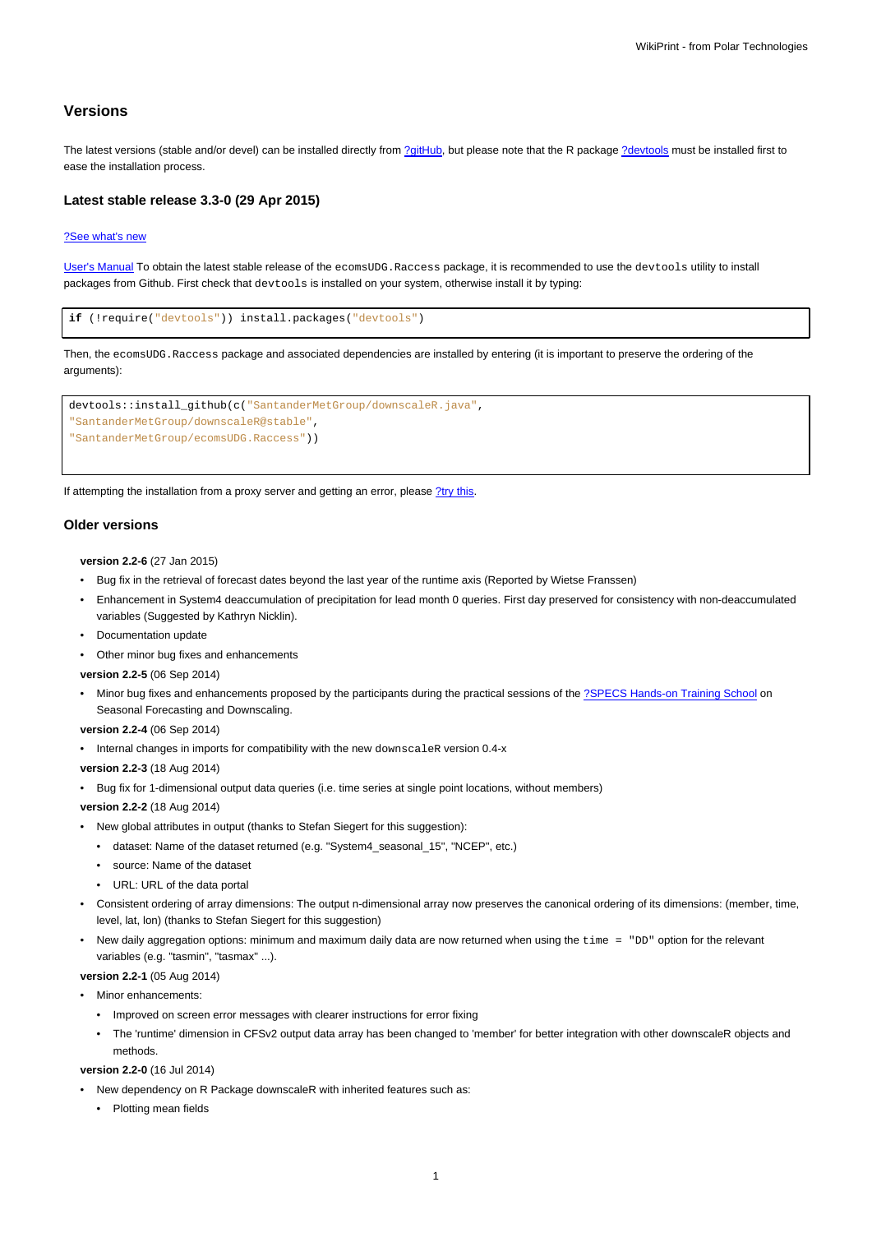# **Versions**

The latest versions (stable and/or devel) can be installed directly from [?gitHub,](https://github.com/SantanderMetGroup/ecomsUDG.Raccess) but please note that the R package [?devtools](http://cran.r-project.org/web/packages/devtools/index.html) must be installed first to ease the installation process.

## **Latest stable release 3.3-0 (29 Apr 2015)**

### [?See what's new](https://github.com/SantanderMetGroup/ecomsUDG.Raccess/releases/tag/v3.3-0)

[User's Manual](https://meteo.unican.es/trac/raw-attachment/wiki/EcomsUdg/DataPortal_Tutorial_v2.pdf) To obtain the latest stable release of the ecomsUDG.Raccess package, it is recommended to use the devtools utility to install packages from Github. First check that devtools is installed on your system, otherwise install it by typing:

```
if (!require("devtools")) install.packages("devtools")
```
Then, the ecomsUDG.Raccess package and associated dependencies are installed by entering (it is important to preserve the ordering of the arguments):

```
devtools::install_github(c("SantanderMetGroup/downscaleR.java",
"SantanderMetGroup/downscaleR@stable",
"SantanderMetGroup/ecomsUDG.Raccess"))
```
If attempting the installation from a proxy server and getting an error, please [?try this.](http://meteo.unican.es/trac/wiki/udg/ecoms/RPackage/setup_proxy)

#### **Older versions**

**version 2.2-6** (27 Jan 2015)

- Bug fix in the retrieval of forecast dates beyond the last year of the runtime axis (Reported by Wietse Franssen)
- Enhancement in System4 deaccumulation of precipitation for lead month 0 queries. First day preserved for consistency with non-deaccumulated variables (Suggested by Kathryn Nicklin).
- Documentation update
- Other minor bug fixes and enhancements

**version 2.2-5** (06 Sep 2014)

• Minor bug fixes and enhancements proposed by the participants during the practical sessions of the [?SPECS Hands-on Training School](http://www.meteo.unican.es/projects/specs/workshop2014) on Seasonal Forecasting and Downscaling.

**version 2.2-4** (06 Sep 2014)

- Internal changes in imports for compatibility with the new downscaleR version 0.4-x
- **version 2.2-3** (18 Aug 2014)
- Bug fix for 1-dimensional output data queries (i.e. time series at single point locations, without members)

**version 2.2-2** (18 Aug 2014)

- New global attributes in output (thanks to Stefan Siegert for this suggestion):
	- dataset: Name of the dataset returned (e.g. "System4\_seasonal\_15", "NCEP", etc.)
	- source: Name of the dataset
	- URL: URL of the data portal
- Consistent ordering of array dimensions: The output n-dimensional array now preserves the canonical ordering of its dimensions: (member, time, level, lat, lon) (thanks to Stefan Siegert for this suggestion)
- New daily aggregation options: minimum and maximum daily data are now returned when using the time = "DD" option for the relevant variables (e.g. "tasmin", "tasmax" ...).

**version 2.2-1** (05 Aug 2014)

• Minor enhancements:

- Improved on screen error messages with clearer instructions for error fixing
- The 'runtime' dimension in CFSv2 output data array has been changed to 'member' for better integration with other downscaleR objects and methods.

## **version 2.2-0** (16 Jul 2014)

- New dependency on R Package downscaleR with inherited features such as:
	- Plotting mean fields